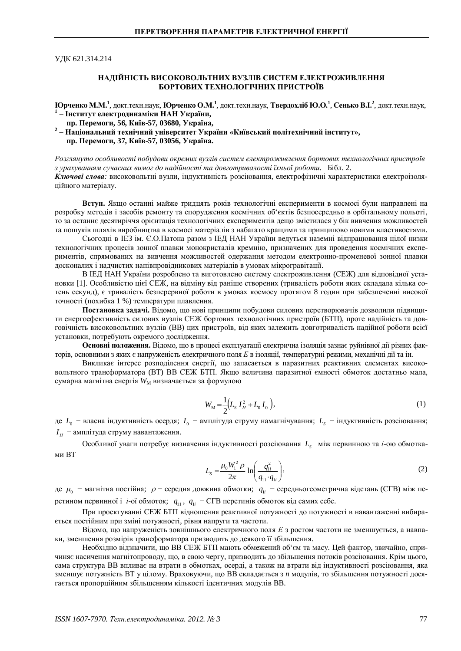ɍȾɄ 621.314.214

## НАДІЙНІСТЬ ВИСОКОВОЛЬТНИХ ВУЗЛІВ СИСТЕМ ЕЛЕКТРОЖИВЛЕННЯ **БОРТОВИХ ТЕХНОЛОГІЧНИХ ПРИСТРОЇВ**

**Юрченко М.М.<sup>1</sup>, докт.техн.наук, Юрченко О.М.<sup>1</sup>, докт.техн.наук, Тверд<b>охліб Ю.О.<sup>1</sup>, Сенько В.І.<sup>2</sup>, докт.техн.наук,** <sup>1</sup> – Інститут електродинаміки НАН України,

- **пр. Перемоги, 56, Київ-57, 03680, Україна,**
- <sup>2</sup> Національний технічний університет України «Київський політехнічний інститут», **пр. Перемоги, 37, Київ-57, 03056, Україна.**

Розглянуто особливості побудови окремих вузлів систем електроживлення бортових технологічних пристроїв з урахуванням сучасних вимог до надійності та довготривалості їхньої роботи. Бібл. 2. Ключові слова: високовольтні вузли, індуктивність розсіювання, електрофізичні характеристики електроізоляшйного матеріалу.

Вступ. Якщо останні майже тридцять років технологічні експерименти в космосі були направлені на розробку методів і засобів ремонту та спорудження космічних об'єктів безпосередньо в орбітальному польоті, то за останнє десятиріччя орієнтація технологічних експериментів дещо змістилася у бік вивчення можливостей та пошуків шляхів виробництва в космосі матеріалів з набагато кращими та принципово новими властивостями.

Сьогодні в IE3 ім. Є.О.Патона разом з IEД НАН України ведуться наземні відпрацювання цілої низки технологічних процесів зонної плавки монокристалів кремнію, призначених для проведення космічних експериментів, спрямованих на вивчення можливостей одержання методом електронно-променевої зонної плавки досконалих і надчистих напівпровідникових матеріалів в умовах мікрогравітації.

В ІЕД НАН України розроблено та виготовлено систему електроживлення (СЕЖ) для відповідної установки [1]. Особливістю цієї СЕЖ, на відміну від раніше створених (тривалість роботи яких складала кілька сотень секунд), є тривалість безперервної роботи в умовах космосу протягом 8 годин при забезпеченні високої точності (похибка 1 %) температури плавлення.

Постановка задачі. Відомо, що нові принципи побудови силових перетворювачів дозволили підвищити енергоефективність силових вузлів СЕЖ бортових технологічних пристроїв (БТП), проте надійність та довговічність високовольтних вузлів (ВВ) цих пристроїв, від яких залежить довготривалість надійної роботи всієї установки, потребують окремого дослідження.

**Основні положення.** Відомо, що в процесі експлуатації електрична ізоляція зазнає руйнівної дії різних факторів, основними з яких є напруженість електричного поля Е в ізоляції, температурні режими, механічні дії та ін.

Викликає інтерес розподілення енергії, що запасається в паразитних реактивних елементах високовольтного трансформатора (ВТ) ВВ СЕЖ БТП. Якщо величина паразитної ємності обмоток достатньо мала, сумарна магнітна енергія W<sub>M</sub> визначається за формулою

$$
W_{\rm M} = \frac{1}{2} \left( L_{\rm S} I_H^2 + L_0 I_0 \right),\tag{1}
$$

де *L*<sub>0</sub> – власна індуктивність осердя; *I*<sub>0</sub> – амплітуда струму намагнічування; *L*<sub>s</sub> – індуктивність розсіювання;  $I_{\scriptscriptstyle H}$  — амплітуда струму навантаження.

Особливої уваги потребує визначення індуктивності розсіювання  $L_{s-}$ між первинною та *і*-ою обмотками BT

$$
L_{\rm s} = \frac{\mu_0 W_1^2 \rho}{2\pi} \ln \left( \frac{q_{\rm ii}^2}{q_{\rm ii} \cdot q_{\rm ii}} \right),\tag{2}
$$

де  $\mu_0$  – магнітна постійна;  $\rho$  – середня довжина обмотки;  $q_{1i}$  – середньогеометрична відстань (СГВ) між перетином первинної і *і*-ої обмоток;  $q_{11}$ ,  $q_{1i}$  – СГВ перетинів обмоток від самих себе.

При проектуванні СЕЖ БТП відношення реактивної потужності до потужності в навантаженні вибирається постійним при зміні потужності, рівня напруги та частоти.

Віломо, що напруженість зовнішнього електричного поля  $E$  з ростом частоти не зменшується, а навпаки, зменшення розмірів трансформатора призводить до деякого її збільшення.

Необхідно відзначити, що ВВ СЕЖ БТП мають обмежений об'єм та масу. Цей фактор, звичайно, спричиняє насичення магнітопроводу, що, в свою чергу, призводить до збільшення потоків розсіювання. Крім цього, сама структура ВВ впливає на втрати в обмотках, осерді, а також на втрати від індуктивності розсіювання, яка зменшує потужність ВТ у цілому. Враховуючи, що ВВ складається з *п* модулів, то збільшення потужності досягається пропорційним збільшенням кількості ідентичних модулів ВВ.